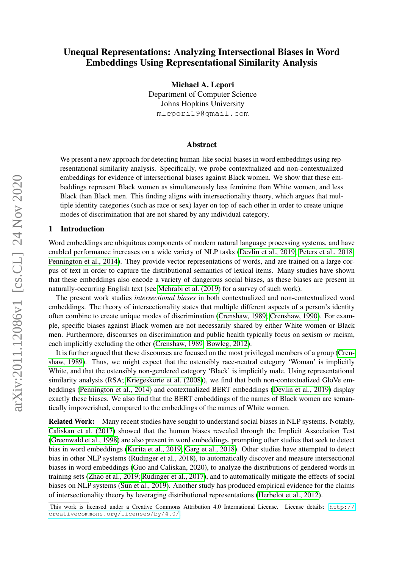# Unequal Representations: Analyzing Intersectional Biases in Word Embeddings Using Representational Similarity Analysis

Michael A. Lepori Department of Computer Science Johns Hopkins University mlepori19@gmail.com

#### Abstract

We present a new approach for detecting human-like social biases in word embeddings using representational similarity analysis. Specifically, we probe contextualized and non-contextualized embeddings for evidence of intersectional biases against Black women. We show that these embeddings represent Black women as simultaneously less feminine than White women, and less Black than Black men. This finding aligns with intersectionality theory, which argues that multiple identity categories (such as race or sex) layer on top of each other in order to create unique modes of discrimination that are not shared by any individual category.

#### 1 Introduction

Word embeddings are ubiquitous components of modern natural language processing systems, and have enabled performance increases on a wide variety of NLP tasks [\(Devlin et al., 2019;](#page-5-0) [Peters et al., 2018;](#page-6-0) [Pennington et al., 2014\)](#page-6-1). They provide vector representations of words, and are trained on a large corpus of text in order to capture the distributional semantics of lexical items. Many studies have shown that these embeddings also encode a variety of dangerous social biases, as these biases are present in naturally-occurring English text (see [Mehrabi et al. \(2019\)](#page-6-2) for a survey of such work).

The present work studies *intersectional biases* in both contextualized and non-contextualized word embeddings. The theory of intersectionality states that multiple different aspects of a person's identity often combine to create unique modes of discrimination [\(Crenshaw, 1989;](#page-5-1) [Crenshaw, 1990\)](#page-5-2). For example, specific biases against Black women are not necessarily shared by either White women or Black men. Furthermore, discourses on discrimination and public health typically focus on sexism *or* racism, each implicitly excluding the other [\(Crenshaw, 1989;](#page-5-1) [Bowleg, 2012\)](#page-5-3).

It is further argued that these discourses are focused on the most privileged members of a group [\(Cren](#page-5-1)[shaw, 1989\)](#page-5-1). Thus, we might expect that the ostensibly race-neutral category 'Woman' is implicitly White, and that the ostensibly non-gendered category 'Black' is implicitly male. Using representational similarity analysis (RSA; [Kriegeskorte et al. \(2008\)](#page-5-4)), we find that both non-contextualized GloVe embeddings [\(Pennington et al., 2014\)](#page-6-1) and contextualized BERT embeddings [\(Devlin et al., 2019\)](#page-5-0) display exactly these biases. We also find that the BERT embeddings of the names of Black women are semantically impoverished, compared to the embeddings of the names of White women.

Related Work: Many recent studies have sought to understand social biases in NLP systems. Notably, [Caliskan et al. \(2017\)](#page-5-5) showed that the human biases revealed through the Implicit Association Test [\(Greenwald et al., 1998\)](#page-5-6) are also present in word embeddings, prompting other studies that seek to detect bias in word embeddings [\(Kurita et al., 2019;](#page-6-3) [Garg et al., 2018\)](#page-5-7). Other studies have attempted to detect bias in other NLP systems [\(Rudinger et al., 2018\)](#page-6-4), to automatically discover and measure intersectional biases in word embeddings [\(Guo and Caliskan, 2020\)](#page-5-8), to analyze the distributions of gendered words in training sets [\(Zhao et al., 2019;](#page-6-5) [Rudinger et al., 2017\)](#page-6-6), and to automatically mitigate the effects of social biases on NLP systems [\(Sun et al., 2019\)](#page-6-7). Another study has produced empirical evidence for the claims of intersectionality theory by leveraging distributional representations [\(Herbelot et al., 2012\)](#page-5-9).

This work is licensed under a Creative Commons Attribution 4.0 International License. License details: [http://](http://creativecommons.org/licenses/by/4.0/) [creativecommons.org/licenses/by/4.0/](http://creativecommons.org/licenses/by/4.0/).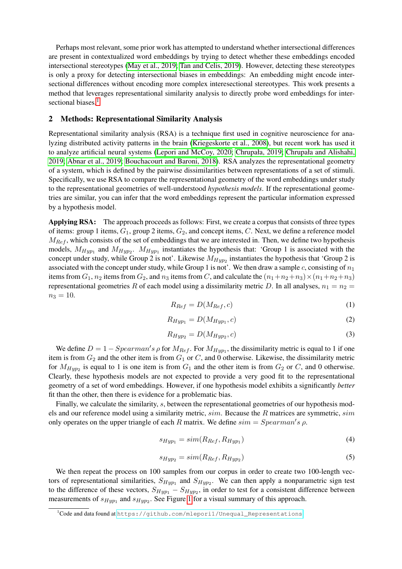Perhaps most relevant, some prior work has attempted to understand whether intersectional differences are present in contextualized word embeddings by trying to detect whether these embeddings encoded intersectional stereotypes [\(May et al., 2019;](#page-6-8) [Tan and Celis, 2019\)](#page-6-9). However, detecting these stereotypes is only a proxy for detecting intersectional biases in embeddings: An embedding might encode intersectional differences without encoding more complex interesectional stereotypes. This work presents a method that leverages representational similarity analysis to directly probe word embeddings for inter-sectional biases.<sup>[1](#page-1-0)</sup>

#### <span id="page-1-1"></span>2 Methods: Representational Similarity Analysis

Representational similarity analysis (RSA) is a technique first used in cognitive neuroscience for analyzing distributed activity patterns in the brain [\(Kriegeskorte et al., 2008\)](#page-5-4), but recent work has used it to analyze artificial neural systems [\(Lepori and McCoy, 2020;](#page-6-10) [Chrupała, 2019;](#page-5-10) [Chrupała and Alishahi,](#page-5-11) [2019;](#page-5-11) [Abnar et al., 2019;](#page-5-12) [Bouchacourt and Baroni, 2018\)](#page-5-13). RSA analyzes the representational geometry of a system, which is defined by the pairwise dissimilarities between representations of a set of stimuli. Specifically, we use RSA to compare the representational geometry of the word embeddings under study to the representational geometries of well-understood *hypothesis models*. If the representational geometries are similar, you can infer that the word embeddings represent the particular information expressed by a hypothesis model.

Applying RSA: The approach proceeds as follows: First, we create a corpus that consists of three types of items: group 1 items,  $G_1$ , group 2 items,  $G_2$ , and concept items, C. Next, we define a reference model  $M_{Ref}$ , which consists of the set of embeddings that we are interested in. Then, we define two hypothesis models,  $M_{Hyp_1}$  and  $M_{Hyp_2}$ .  $M_{Hyp_1}$  instantiates the hypothesis that: 'Group 1 is associated with the concept under study, while Group 2 is not'. Likewise  $M_{Hyp_2}$  instantiates the hypothesis that 'Group 2 is associated with the concept under study, while Group 1 is not'. We then draw a sample  $c$ , consisting of  $n_1$ items from  $G_1$ ,  $n_2$  items from  $G_2$ , and  $n_3$  items from C, and calculate the  $(n_1+n_2+n_3)\times(n_1+n_2+n_3)$ representational geometries R of each model using a dissimilarity metric D. In all analyses,  $n_1 = n_2$  $n_3 = 10$ .

$$
R_{Ref} = D(M_{Ref}, c) \tag{1}
$$

$$
R_{Hyp_1} = D(M_{Hyp_1}, c) \tag{2}
$$

$$
R_{Hyp_2} = D(M_{Hyp_2}, c) \tag{3}
$$

We define  $D = 1 - Spearman's \rho$  for  $M_{Ref}$ . For  $M_{Hyp1}$ , the dissimilarity metric is equal to 1 if one item is from  $G_2$  and the other item is from  $G_1$  or C, and 0 otherwise. Likewise, the dissimilarity metric for  $M_{Hyp_2}$  is equal to 1 is one item is from  $G_1$  and the other item is from  $G_2$  or C, and 0 otherwise. Clearly, these hypothesis models are not expected to provide a very good fit to the representational geometry of a set of word embeddings. However, if one hypothesis model exhibits a significantly *better* fit than the other, then there is evidence for a problematic bias.

Finally, we calculate the similarity, s, between the representational geometries of our hypothesis models and our reference model using a similarity metric, sim. Because the R matrices are symmetric, sim only operates on the upper triangle of each R matrix. We define  $sim = Spearman's \rho$ .

$$
s_{Hyp_1} = sim(R_{Ref}, R_{Hyp_1})
$$
\n<sup>(4)</sup>

$$
s_{Hyp_2} = sim(R_{Ref}, R_{Hyp_2})
$$
\n<sup>(5)</sup>

We then repeat the process on 100 samples from our corpus in order to create two 100-length vectors of representational similarities,  $S_{Hyp1}$  and  $S_{Hyp2}$ . We can then apply a nonparametric sign test to the difference of these vectors,  $S_{Hyp1} - S_{Hyp2}$ , in order to test for a consistent difference between measurements of  $s_{Hyp_1}$  and  $s_{Hyp_2}$ . See Figure [1](#page-2-0) for a visual summary of this approach.

<span id="page-1-0"></span><sup>&</sup>lt;sup>1</sup>Code and data found at [https://github.com/mlepori1/Unequal\\_Representations](https://github.com/mlepori1/Unequal_Representations).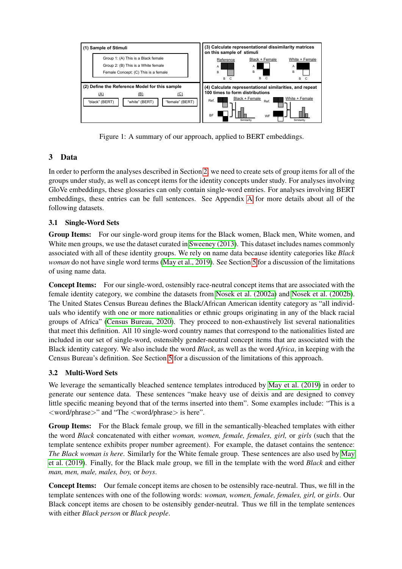

<span id="page-2-0"></span>Figure 1: A summary of our approach, applied to BERT embeddings.

# <span id="page-2-1"></span>3 Data

In order to perform the analyses described in Section [2,](#page-1-1) we need to create sets of group items for all of the groups under study, as well as concept items for the identity concepts under study. For analyses involving GloVe embeddings, these glossaries can only contain single-word entries. For analyses involving BERT embeddings, these entries can be full sentences. See Appendix [A](#page-7-0) for more details about all of the following datasets.

# 3.1 Single-Word Sets

Group Items: For our single-word group items for the Black women, Black men, White women, and White men groups, we use the dataset curated in [Sweeney \(2013\)](#page-6-11). This dataset includes names commonly associated with all of these identity groups. We rely on name data because identity categories like *Black woman* do not have single word terms [\(May et al., 2019\)](#page-6-8). See Section [5](#page-4-0) for a discussion of the limitations of using name data.

Concept Items: For our single-word, ostensibly race-neutral concept items that are associated with the female identity category, we combine the datasets from [Nosek et al. \(2002a\)](#page-6-12) and [Nosek et al. \(2002b\)](#page-6-13). The United States Census Bureau defines the Black/African American identity category as "all individuals who identify with one or more nationalities or ethnic groups originating in any of the black racial groups of Africa" [\(Census Bureau, 2020\)](#page-5-14). They proceed to non-exhaustively list several nationalities that meet this definition. All 10 single-word country names that correspond to the nationalities listed are included in our set of single-word, ostensibly gender-neutral concept items that are associated with the Black identity category. We also include the word *Black*, as well as the word *Africa*, in keeping with the Census Bureau's definition. See Section [5](#page-4-0) for a discussion of the limitations of this approach.

# 3.2 Multi-Word Sets

We leverage the semantically bleached sentence templates introduced by [May et al. \(2019\)](#page-6-8) in order to generate our sentence data. These sentences "make heavy use of deixis and are designed to convey little specific meaning beyond that of the terms inserted into them". Some examples include: "This is a <word/phrase>" and "The <word/phrase> is here".

Group Items: For the Black female group, we fill in the semantically-bleached templates with either the word *Black* concatenated with either *woman, women, female, females, girl,* or *girls* (such that the template sentence exhibits proper number agreement). For example, the dataset contains the sentence: *The Black woman is here*. Similarly for the White female group. These sentences are also used by [May](#page-6-8) [et al. \(2019\)](#page-6-8). Finally, for the Black male group, we fill in the template with the word *Black* and either *man, men, male, males, boy,* or *boys*.

Concept Items: Our female concept items are chosen to be ostensibly race-neutral. Thus, we fill in the template sentences with one of the following words: *woman, women, female, females, girl,* or *girls*. Our Black concept items are chosen to be ostensibly gender-neutral. Thus we fill in the template sentences with either *Black person* or *Black people*.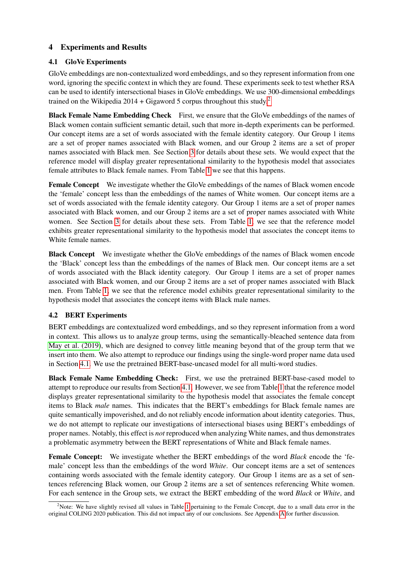## 4 Experiments and Results

### <span id="page-3-1"></span>4.1 GloVe Experiments

GloVe embeddings are non-contextualized word embeddings, and so they represent information from one word, ignoring the specific context in which they are found. These experiments seek to test whether RSA can be used to identify intersectional biases in GloVe embeddings. We use 300-dimensional embeddings trained on the Wikipedia  $2014 + G$  $2014 + G$ igaword 5 corpus throughout this study.<sup>2</sup>

Black Female Name Embedding Check First, we ensure that the GloVe embeddings of the names of Black women contain sufficient semantic detail, such that more in-depth experiments can be performed. Our concept items are a set of words associated with the female identity category. Our Group 1 items are a set of proper names associated with Black women, and our Group 2 items are a set of proper names associated with Black men. See Section [3](#page-2-1) for details about these sets. We would expect that the reference model will display greater representational similarity to the hypothesis model that associates female attributes to Black female names. From Table [1](#page-4-1) we see that this happens.

Female Concept We investigate whether the GloVe embeddings of the names of Black women encode the 'female' concept less than the embeddings of the names of White women. Our concept items are a set of words associated with the female identity category. Our Group 1 items are a set of proper names associated with Black women, and our Group 2 items are a set of proper names associated with White women. See Section [3](#page-2-1) for details about these sets. From Table [1,](#page-4-1) we see that the reference model exhibits greater representational similarity to the hypothesis model that associates the concept items to White female names.

Black Concept We investigate whether the GloVe embeddings of the names of Black women encode the 'Black' concept less than the embeddings of the names of Black men. Our concept items are a set of words associated with the Black identity category. Our Group 1 items are a set of proper names associated with Black women, and our Group 2 items are a set of proper names associated with Black men. From Table [1,](#page-4-1) we see that the reference model exhibits greater representational similarity to the hypothesis model that associates the concept items with Black male names.

### 4.2 BERT Experiments

BERT embeddings are contextualized word embeddings, and so they represent information from a word in context. This allows us to analyze group terms, using the semantically-bleached sentence data from [May et al. \(2019\)](#page-6-8), which are designed to convey little meaning beyond that of the group term that we insert into them. We also attempt to reproduce our findings using the single-word proper name data used in Section [4.1.](#page-3-1) We use the pretrained BERT-base-uncased model for all multi-word studies.

Black Female Name Embedding Check: First, we use the pretrained BERT-base-cased model to attempt to reproduce our results from Section [4.1.](#page-3-1) However, we see from Table [1](#page-4-1) that the reference model displays greater representational similarity to the hypothesis model that associates the female concept items to Black *male* names. This indicates that the BERT's embeddings for Black female names are quite semantically impoverished, and do not reliably encode information about identity categories. Thus, we do not attempt to replicate our investigations of intersectional biases using BERT's embeddings of proper names. Notably, this effect is *not* reproduced when analyzing White names, and thus demonstrates a problematic asymmetry between the BERT representations of White and Black female names.

Female Concept: We investigate whether the BERT embeddings of the word *Black* encode the 'female' concept less than the embeddings of the word *White*. Our concept items are a set of sentences containing words associated with the female identity category. Our Group 1 items are as a set of sentences referencing Black women, our Group 2 items are a set of sentences referencing White women. For each sentence in the Group sets, we extract the BERT embedding of the word *Black* or *White*, and

<span id="page-3-0"></span><sup>&</sup>lt;sup>2</sup>Note: We have slightly revised all values in Table [1](#page-4-1) pertaining to the Female Concept, due to a small data error in the original COLING 2020 publication. This did not impact any of our conclusions. See Appendix [A](#page-7-0) for further discussion.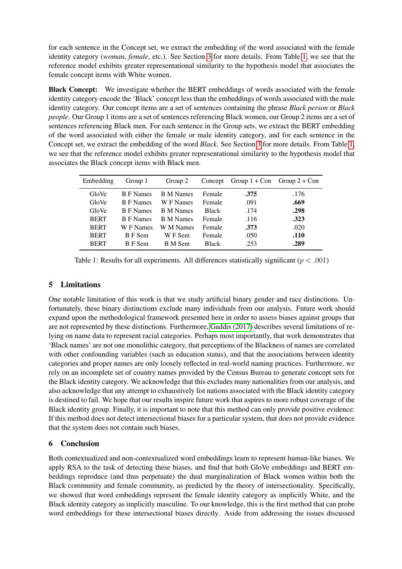for each sentence in the Concept set, we extract the embedding of the word associated with the female identity category (*woman*, *female*, etc.). See Section [3](#page-2-1) for more details. From Table [1,](#page-4-1) we see that the reference model exhibits greater representational similarity to the hypothesis model that associates the female concept items with White women.

Black Concept: We investigate whether the BERT embeddings of words associated with the female identity category encode the 'Black' concept less than the embeddings of words associated with the male identity category. Our concept items are a set of sentences containing the phrase *Black person* or *Black people*. Our Group 1 items are a set of sentences referencing Black women, our Group 2 items are a set of sentences referencing Black men. For each sentence in the Group sets, we extract the BERT embedding of the word associated with either the female or male identity category, and for each sentence in the Concept set, we extract the embedding of the word *Black*. See Section [3](#page-2-1) for more details. From Table [1,](#page-4-1) we see that the reference model exhibits greater representational similarity to the hypothesis model that associates the Black concept items with Black men.

| Embedding   | Group 1          | Group 2          | Concept      | Group $1 + Con$ Group $2 + Con$ |      |
|-------------|------------------|------------------|--------------|---------------------------------|------|
| GloVe       | <b>B</b> F Names | <b>B</b> M Names | Female       | .375                            | .176 |
| GloVe       | <b>B</b> F Names | W F Names        | Female       | .091                            | .669 |
| GloVe       | <b>B</b> F Names | <b>B</b> M Names | <b>Black</b> | .174                            | .298 |
| <b>BERT</b> | <b>B</b> F Names | <b>B</b> M Names | Female       | .116                            | .323 |
| <b>BERT</b> | W F Names        | W M Names        | Female       | .373                            | .020 |
| <b>BERT</b> | <b>B</b> F Sent  | W F Sent         | Female       | .050                            | .110 |
| <b>BERT</b> | <b>B</b> F Sent  | <b>B</b> M Sent  | <b>Black</b> | .253                            | .289 |

<span id="page-4-1"></span>Table 1: Results for all experiments. All differences statistically significant ( $p < .001$ )

## <span id="page-4-0"></span>5 Limitations

One notable limitation of this work is that we study artificial binary gender and race distinctions. Unfortunately, these binary distinctions exclude many individuals from our analysis. Future work should expand upon the methodological framework presented here in order to assess biases against groups that are not represented by these distinctions. Furthermore, [Gaddis \(2017\)](#page-5-15) describes several limitations of relying on name data to represent racial categories. Perhaps most importantly, that work demonstrates that 'Black names' are not one monolithic category, that perceptions of the Blackness of names are correlated with other confounding variables (such as education status), and that the associations between identity categories and proper names are only loosely reflected in real-world naming practices. Furthermore, we rely on an incomplete set of country names provided by the Census Bureau to generate concept sets for the Black identity category. We acknowledge that this excludes many nationalities from our analysis, and also acknowledge that any attempt to exhaustively list nations associated with the Black identity category is destined to fail. We hope that our results inspire future work that aspires to more robust coverage of the Black identity group. Finally, it is important to note that this method can only provide positive evidence: If this method does not detect intersectional biases for a particular system, that does not provide evidence that the system does not contain such biases.

# 6 Conclusion

Both contextualized and non-contextualized word embeddings learn to represent human-like biases. We apply RSA to the task of detecting these biases, and find that both GloVe embeddings and BERT embeddings reproduce (and thus perpetuate) the dual marginalization of Black women within both the Black community and female community, as predicted by the theory of intersectionality. Specifically, we showed that word embeddings represent the female identity category as implicitly White, and the Black identity category as implicitly masculine. To our knowledge, this is the first method that can probe word embeddings for these intersectional biases directly. Aside from addressing the issues discussed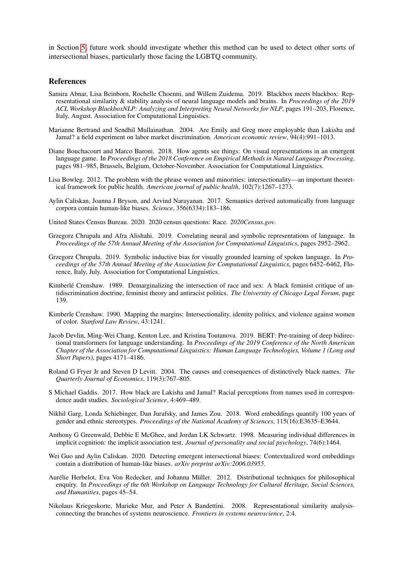in Section [5,](#page-4-0) future work should investigate whether this method can be used to detect other sorts of intersectional biases, particularly those facing the LGBTQ community.

#### References

- <span id="page-5-12"></span>Samira Abnar, Lisa Beinborn, Rochelle Choenni, and Willem Zuidema. 2019. Blackbox meets blackbox: Representational similarity & stability analysis of neural language models and brains. In *Proceedings of the 2019 ACL Workshop BlackboxNLP: Analyzing and Interpreting Neural Networks for NLP*, pages 191–203, Florence, Italy, August. Association for Computational Linguistics.
- <span id="page-5-16"></span>Marianne Bertrand and Sendhil Mullainathan. 2004. Are Emily and Greg more employable than Lakisha and Jamal? a field experiment on labor market discrimination. *American economic review*, 94(4):991–1013.
- <span id="page-5-13"></span>Diane Bouchacourt and Marco Baroni. 2018. How agents see things: On visual representations in an emergent language game. In *Proceedings of the 2018 Conference on Empirical Methods in Natural Language Processing*, pages 981–985, Brussels, Belgium, October-November. Association for Computational Linguistics.
- <span id="page-5-3"></span>Lisa Bowleg. 2012. The problem with the phrase women and minorities: intersectionality—an important theoretical framework for public health. *American journal of public health*, 102(7):1267–1273.
- <span id="page-5-5"></span>Aylin Caliskan, Joanna J Bryson, and Arvind Narayanan. 2017. Semantics derived automatically from language corpora contain human-like biases. *Science*, 356(6334):183–186.
- <span id="page-5-14"></span>United States Census Bureau. 2020. 2020 census questions: Race. *2020Census.gov*.
- <span id="page-5-11"></span>Grzegorz Chrupała and Afra Alishahi. 2019. Correlating neural and symbolic representations of language. In *Proceedings of the 57th Annual Meeting of the Association for Computational Linguistics*, pages 2952–2962.
- <span id="page-5-10"></span>Grzegorz Chrupała. 2019. Symbolic inductive bias for visually grounded learning of spoken language. In *Proceedings of the 57th Annual Meeting of the Association for Computational Linguistics*, pages 6452–6462, Florence, Italy, July. Association for Computational Linguistics.
- <span id="page-5-1"></span>Kimberlé Crenshaw. 1989. Demarginalizing the intersection of race and sex: A black feminist critique of antidiscrimination doctrine, feminist theory and antiracist politics. *The University of Chicago Legal Forum*, page 139.
- <span id="page-5-2"></span>Kimberle Crenshaw. 1990. Mapping the margins: Intersectionality, identity politics, and violence against women of color. *Stanford Law Review*, 43:1241.
- <span id="page-5-0"></span>Jacob Devlin, Ming-Wei Chang, Kenton Lee, and Kristina Toutanova. 2019. BERT: Pre-training of deep bidirectional transformers for language understanding. In *Proceedings of the 2019 Conference of the North American Chapter of the Association for Computational Linguistics: Human Language Technologies, Volume 1 (Long and Short Papers)*, pages 4171–4186.
- <span id="page-5-17"></span>Roland G Fryer Jr and Steven D Levitt. 2004. The causes and consequences of distinctively black names. *The Quarterly Journal of Economics*, 119(3):767–805.
- <span id="page-5-15"></span>S Michael Gaddis. 2017. How black are Lakisha and Jamal? Racial perceptions from names used in correspondence audit studies. *Sociological Science*, 4:469–489.
- <span id="page-5-7"></span>Nikhil Garg, Londa Schiebinger, Dan Jurafsky, and James Zou. 2018. Word embeddings quantify 100 years of gender and ethnic stereotypes. *Proceedings of the National Academy of Sciences*, 115(16):E3635–E3644.
- <span id="page-5-6"></span>Anthony G Greenwald, Debbie E McGhee, and Jordan LK Schwartz. 1998. Measuring individual differences in implicit cognition: the implicit association test. *Journal of personality and social psychology*, 74(6):1464.
- <span id="page-5-8"></span>Wei Guo and Aylin Caliskan. 2020. Detecting emergent intersectional biases: Contextualized word embeddings contain a distribution of human-like biases. *arXiv preprint arXiv:2006.03955*.
- <span id="page-5-9"></span>Aurélie Herbelot, Eva Von Redecker, and Johanna Müller. 2012. Distributional techniques for philosophical enquiry. In *Proceedings of the 6th Workshop on Language Technology for Cultural Heritage, Social Sciences, and Humanities*, pages 45–54.
- <span id="page-5-4"></span>Nikolaus Kriegeskorte, Marieke Mur, and Peter A Bandettini. 2008. Representational similarity analysisconnecting the branches of systems neuroscience. *Frontiers in systems neuroscience*, 2:4.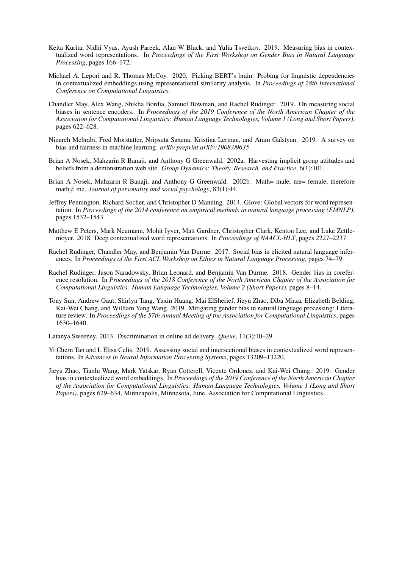- <span id="page-6-3"></span>Keita Kurita, Nidhi Vyas, Ayush Pareek, Alan W Black, and Yulia Tsvetkov. 2019. Measuring bias in contextualized word representations. In *Proceedings of the First Workshop on Gender Bias in Natural Language Processing*, pages 166–172.
- <span id="page-6-10"></span>Michael A. Lepori and R. Thomas McCoy. 2020. Picking BERT's brain: Probing for linguistic dependencies in contextualized embeddings using representational similarity analysis. In *Proceedings of 28th International Conference on Computational Linguistics*.
- <span id="page-6-8"></span>Chandler May, Alex Wang, Shikha Bordia, Samuel Bowman, and Rachel Rudinger. 2019. On measuring social biases in sentence encoders. In *Proceedings of the 2019 Conference of the North American Chapter of the Association for Computational Linguistics: Human Language Technologies, Volume 1 (Long and Short Papers)*, pages 622–628.
- <span id="page-6-2"></span>Ninareh Mehrabi, Fred Morstatter, Nripsuta Saxena, Kristina Lerman, and Aram Galstyan. 2019. A survey on bias and fairness in machine learning. *arXiv preprint arXiv:1908.09635*.
- <span id="page-6-12"></span>Brian A Nosek, Mahzarin R Banaji, and Anthony G Greenwald. 2002a. Harvesting implicit group attitudes and beliefs from a demonstration web site. *Group Dynamics: Theory, Research, and Practice*, 6(1):101.
- <span id="page-6-13"></span>Brian A Nosek, Mahzarin R Banaji, and Anthony G Greenwald. 2002b. Math= male, me= female, therefore math $\neq$  me. *Journal of personality and social psychology*, 83(1):44.
- <span id="page-6-1"></span>Jeffrey Pennington, Richard Socher, and Christopher D Manning. 2014. Glove: Global vectors for word representation. In *Proceedings of the 2014 conference on empirical methods in natural language processing (EMNLP)*, pages 1532–1543.
- <span id="page-6-0"></span>Matthew E Peters, Mark Neumann, Mohit Iyyer, Matt Gardner, Christopher Clark, Kenton Lee, and Luke Zettlemoyer. 2018. Deep contextualized word representations. In *Proceedings of NAACL-HLT*, pages 2227–2237.
- <span id="page-6-6"></span>Rachel Rudinger, Chandler May, and Benjamin Van Durme. 2017. Social bias in elicited natural language inferences. In *Proceedings of the First ACL Workshop on Ethics in Natural Language Processing*, pages 74–79.
- <span id="page-6-4"></span>Rachel Rudinger, Jason Naradowsky, Brian Leonard, and Benjamin Van Durme. 2018. Gender bias in coreference resolution. In *Proceedings of the 2018 Conference of the North American Chapter of the Association for Computational Linguistics: Human Language Technologies, Volume 2 (Short Papers)*, pages 8–14.
- <span id="page-6-7"></span>Tony Sun, Andrew Gaut, Shirlyn Tang, Yuxin Huang, Mai ElSherief, Jieyu Zhao, Diba Mirza, Elizabeth Belding, Kai-Wei Chang, and William Yang Wang. 2019. Mitigating gender bias in natural language processing: Literature review. In *Proceedings of the 57th Annual Meeting of the Association for Computational Linguistics*, pages 1630–1640.

<span id="page-6-11"></span>Latanya Sweeney. 2013. Discrimination in online ad delivery. *Queue*, 11(3):10–29.

- <span id="page-6-9"></span>Yi Chern Tan and L Elisa Celis. 2019. Assessing social and intersectional biases in contextualized word representations. In *Advances in Neural Information Processing Systems*, pages 13209–13220.
- <span id="page-6-5"></span>Jieyu Zhao, Tianlu Wang, Mark Yatskar, Ryan Cotterell, Vicente Ordonez, and Kai-Wei Chang. 2019. Gender bias in contextualized word embeddings. In *Proceedings of the 2019 Conference of the North American Chapter of the Association for Computational Linguistics: Human Language Technologies, Volume 1 (Long and Short Papers)*, pages 629–634, Minneapolis, Minnesota, June. Association for Computational Linguistics.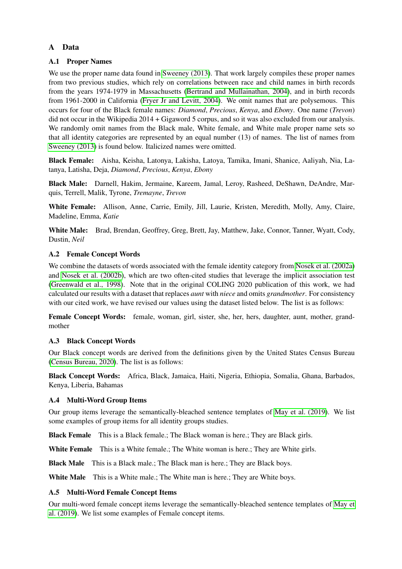## <span id="page-7-0"></span>A Data

### A.1 Proper Names

We use the proper name data found in [Sweeney \(2013\)](#page-6-11). That work largely compiles these proper names from two previous studies, which rely on correlations between race and child names in birth records from the years 1974-1979 in Massachusetts [\(Bertrand and Mullainathan, 2004\)](#page-5-16), and in birth records from 1961-2000 in California [\(Fryer Jr and Levitt, 2004\)](#page-5-17). We omit names that are polysemous. This occurs for four of the Black female names: *Diamond*, *Precious*, *Kenya*, and *Ebony*. One name (*Trevon*) did not occur in the Wikipedia 2014 + Gigaword 5 corpus, and so it was also excluded from our analysis. We randomly omit names from the Black male, White female, and White male proper name sets so that all identity categories are represented by an equal number (13) of names. The list of names from [Sweeney \(2013\)](#page-6-11) is found below. Italicized names were omitted.

Black Female: Aisha, Keisha, Latonya, Lakisha, Latoya, Tamika, Imani, Shanice, Aaliyah, Nia, Latanya, Latisha, Deja, *Diamond*, *Precious*, *Kenya*, *Ebony*

Black Male: Darnell, Hakim, Jermaine, Kareem, Jamal, Leroy, Rasheed, DeShawn, DeAndre, Marquis, Terrell, Malik, Tyrone, *Tremayne*, *Trevon*

White Female: Allison, Anne, Carrie, Emily, Jill, Laurie, Kristen, Meredith, Molly, Amy, Claire, Madeline, Emma, *Katie*

White Male: Brad, Brendan, Geoffrey, Greg, Brett, Jay, Matthew, Jake, Connor, Tanner, Wyatt, Cody, Dustin, *Neil*

### A.2 Female Concept Words

We combine the datasets of words associated with the female identity category from [Nosek et al. \(2002a\)](#page-6-12) and [Nosek et al. \(2002b\)](#page-6-13), which are two often-cited studies that leverage the implicit association test [\(Greenwald et al., 1998\)](#page-5-6). Note that in the original COLING 2020 publication of this work, we had calculated our results with a dataset that replaces *aunt* with *niece* and omits *grandmother*. For consistency with our cited work, we have revised our values using the dataset listed below. The list is as follows:

Female Concept Words: female, woman, girl, sister, she, her, hers, daughter, aunt, mother, grandmother

#### A.3 Black Concept Words

Our Black concept words are derived from the definitions given by the United States Census Bureau [\(Census Bureau, 2020\)](#page-5-14). The list is as follows:

Black Concept Words: Africa, Black, Jamaica, Haiti, Nigeria, Ethiopia, Somalia, Ghana, Barbados, Kenya, Liberia, Bahamas

#### A.4 Multi-Word Group Items

Our group items leverage the semantically-bleached sentence templates of [May et al. \(2019\)](#page-6-8). We list some examples of group items for all identity groups studies.

Black Female This is a Black female.; The Black woman is here.; They are Black girls.

White Female This is a White female.: The White woman is here.: They are White girls.

**Black Male** This is a Black male.; The Black man is here.; They are Black boys.

White Male This is a White male.; The White man is here.; They are White boys.

#### A.5 Multi-Word Female Concept Items

Our multi-word female concept items leverage the semantically-bleached sentence templates of [May et](#page-6-8) [al. \(2019\)](#page-6-8). We list some examples of Female concept items.